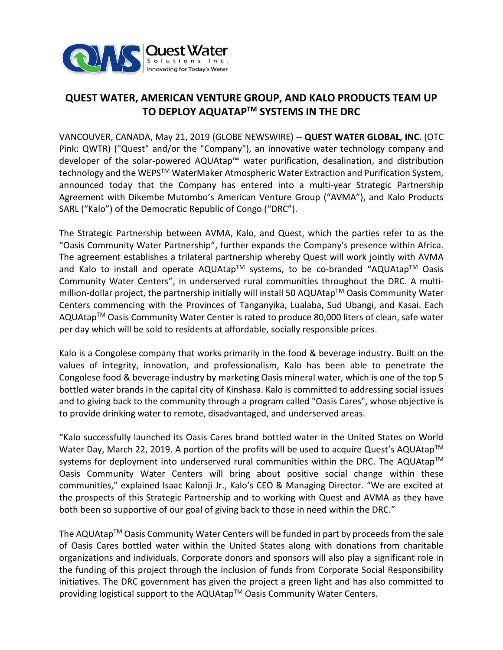

## **QUEST WATER, AMERICAN VENTURE GROUP, AND KALO PRODUCTS TEAM UP TO DEPLOY AQUATAPTM SYSTEMS IN THE DRC**

VANCOUVER, CANADA, May 21, 2019 (GLOBE NEWSWIRE) -- **QUEST WATER GLOBAL, INC.** (OTC Pink: QWTR) ("Quest" and/or the "Company"), an innovative water technology company and developer of the solar-powered AQUAtap™ water purification, desalination, and distribution technology and the WEPS™ WaterMaker Atmospheric Water Extraction and Purification System, announced today that the Company has entered into a multi-year Strategic Partnership Agreement with Dikembe Mutombo's American Venture Group ("AVMA"), and Kalo Products SARL ("Kalo") of the Democratic Republic of Congo ("DRC").

The Strategic Partnership between AVMA, Kalo, and Quest, which the parties refer to as the "Oasis Community Water Partnership", further expands the Company's presence within Africa. The agreement establishes a trilateral partnership whereby Quest will work jointly with AVMA and Kalo to install and operate AQUAtap™ systems, to be co-branded "AQUAtap™ Oasis Community Water Centers", in underserved rural communities throughout the DRC. A multimillion-dollar project, the partnership initially will install 50 AQUAtap™ Oasis Community Water Centers commencing with the Provinces of Tanganyika, Lualaba, Sud Ubangi, and Kasai. Each AQUAtap<sup>™</sup> Oasis Community Water Center is rated to produce 80,000 liters of clean, safe water per day which will be sold to residents at affordable, socially responsible prices.

Kalo is a Congolese company that works primarily in the food & beverage industry. Built on the values of integrity, innovation, and professionalism, Kalo has been able to penetrate the Congolese food & beverage industry by marketing Oasis mineral water, which is one of the top 5 bottled water brands in the capital city of Kinshasa. Kalo is committed to addressing social issues and to giving back to the community through a program called "Oasis Cares", whose objective is to provide drinking water to remote, disadvantaged, and underserved areas.

"Kalo successfully launched its Oasis Cares brand bottled water in the United States on World Water Day, March 22, 2019. A portion of the profits will be used to acquire Quest's AQUAtap<sup>TM</sup> systems for deployment into underserved rural communities within the DRC. The AQUAtap™ Oasis Community Water Centers will bring about positive social change within these communities," explained Isaac Kalonji Jr., Kalo's CEO & Managing Director. "We are excited at the prospects of this Strategic Partnership and to working with Quest and AVMA as they have both been so supportive of our goal of giving back to those in need within the DRC."

The AQUAtap<sup>TM</sup> Oasis Community Water Centers will be funded in part by proceeds from the sale of Oasis Cares bottled water within the United States along with donations from charitable organizations and individuals. Corporate donors and sponsors will also play a significant role in the funding of this project through the inclusion of funds from Corporate Social Responsibility initiatives. The DRC government has given the project a green light and has also committed to providing logistical support to the AQUAtap™ Oasis Community Water Centers.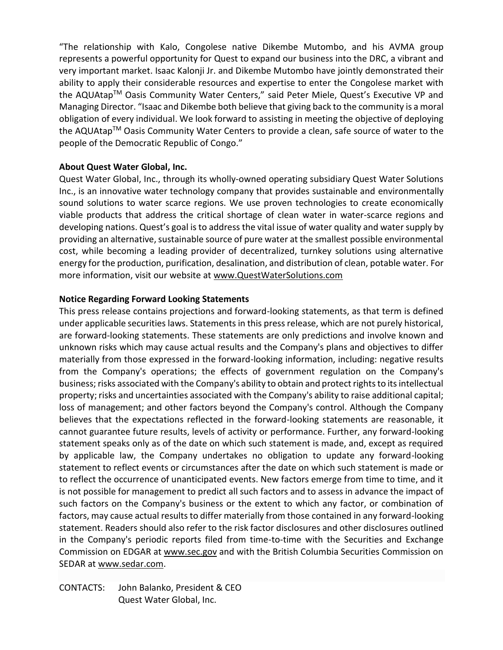"The relationship with Kalo, Congolese native Dikembe Mutombo, and his AVMA group represents a powerful opportunity for Quest to expand our business into the DRC, a vibrant and very important market. Isaac Kalonji Jr. and Dikembe Mutombo have jointly demonstrated their ability to apply their considerable resources and expertise to enter the Congolese market with the AQUAtap™ Oasis Community Water Centers," said Peter Miele, Quest's Executive VP and Managing Director. "Isaac and Dikembe both believe that giving back to the community is a moral obligation of every individual. We look forward to assisting in meeting the objective of deploying the AQUAtap™ Oasis Community Water Centers to provide a clean, safe source of water to the people of the Democratic Republic of Congo."

## **About Quest Water Global, Inc.**

Quest Water Global, Inc., through its wholly-owned operating subsidiary Quest Water Solutions Inc., is an innovative water technology company that provides sustainable and environmentally sound solutions to water scarce regions. We use proven technologies to create economically viable products that address the critical shortage of clean water in water-scarce regions and developing nations. Quest's goal is to address the vital issue of water quality and water supply by providing an alternative, sustainable source of pure water at the smallest possible environmental cost, while becoming a leading provider of decentralized, turnkey solutions using alternative energy for the production, purification, desalination, and distribution of clean, potable water. For more information, visit our website at [www.QuestWaterSolutions.com](http://www.questwatersolutions.com/)

## **Notice Regarding Forward Looking Statements**

This press release contains projections and forward-looking statements, as that term is defined under applicable securities laws. Statements in this press release, which are not purely historical, are forward-looking statements. These statements are only predictions and involve known and unknown risks which may cause actual results and the Company's plans and objectives to differ materially from those expressed in the forward-looking information, including: negative results from the Company's operations; the effects of government regulation on the Company's business; risks associated with the Company's ability to obtain and protect rights to its intellectual property; risks and uncertainties associated with the Company's ability to raise additional capital; loss of management; and other factors beyond the Company's control. Although the Company believes that the expectations reflected in the forward-looking statements are reasonable, it cannot guarantee future results, levels of activity or performance. Further, any forward-looking statement speaks only as of the date on which such statement is made, and, except as required by applicable law, the Company undertakes no obligation to update any forward-looking statement to reflect events or circumstances after the date on which such statement is made or to reflect the occurrence of unanticipated events. New factors emerge from time to time, and it is not possible for management to predict all such factors and to assess in advance the impact of such factors on the Company's business or the extent to which any factor, or combination of factors, may cause actual results to differ materially from those contained in any forward-looking statement. Readers should also refer to the risk factor disclosures and other disclosures outlined in the Company's periodic reports filed from time-to-time with the Securities and Exchange Commission on EDGAR at [www.sec.gov](http://www.sec.gov/) and with the British Columbia Securities Commission on SEDAR at [www.sedar.com.](http://www.sedar.com/)

CONTACTS: John Balanko, President & CEO Quest Water Global, Inc.